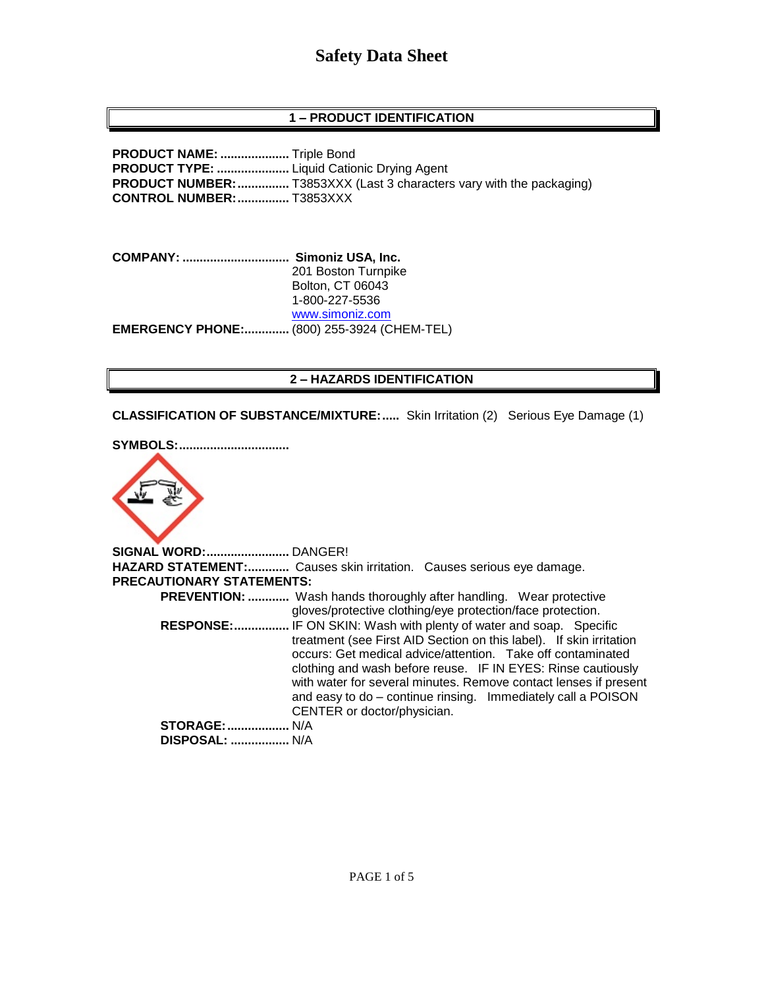# **Safety Data Sheet**

# **1 – PRODUCT IDENTIFICATION**

**PRODUCT NAME: ....................** Triple Bond **PRODUCT TYPE: .....................** Liquid Cationic Drying Agent **PRODUCT NUMBER:**................. T3853XXX (Last 3 characters vary with the packaging) **CONTROL NUMBER:...............** T3853XXX

**COMPANY: ............................... Simoniz USA, Inc.** 201 Boston Turnpike Bolton, CT 06043 1-800-227-5536 [www.simoniz.com](http://www.simoniz.com/) **EMERGENCY PHONE:.............** (800) 255-3924 (CHEM-TEL)

### **2 – HAZARDS IDENTIFICATION**

**CLASSIFICATION OF SUBSTANCE/MIXTURE:.....** Skin Irritation (2) Serious Eye Damage (1)

**SYMBOLS:................................**



**SIGNAL WORD:........................** DANGER! **HAZARD STATEMENT:............** Causes skin irritation. Causes serious eye damage. **PRECAUTIONARY STATEMENTS: PREVENTION: ............** Wash hands thoroughly after handling. Wear protective gloves/protective clothing/eye protection/face protection.  **RESPONSE:................** IF ON SKIN: Wash with plenty of water and soap. Specific treatment (see First AID Section on this label). If skin irritation occurs: Get medical advice/attention. Take off contaminated clothing and wash before reuse. IF IN EYES: Rinse cautiously with water for several minutes. Remove contact lenses if present and easy to do – continue rinsing. Immediately call a POISON CENTER or doctor/physician. **STORAGE:..................** N/A  **DISPOSAL: .................** N/A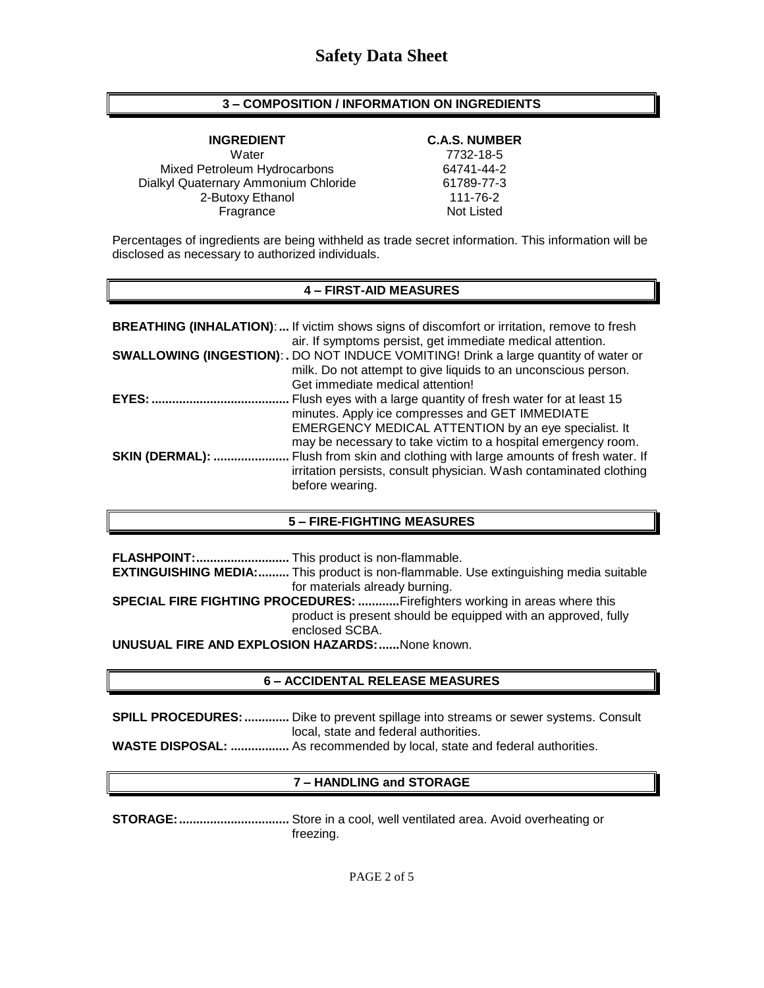## **3 – COMPOSITION / INFORMATION ON INGREDIENTS**

**INGREDIENT C.A.S. NUMBER** Water 7732-18-5 Mixed Petroleum Hydrocarbons 64741-44-2 Dialkyl Quaternary Ammonium Chloride 61789-77-3 2-Butoxy Ethanol 111-76-2 Fragrance Not Listed

Percentages of ingredients are being withheld as trade secret information. This information will be disclosed as necessary to authorized individuals.

### **4 – FIRST-AID MEASURES**

|                        | <b>BREATHING (INHALATION):</b> If victim shows signs of discomfort or irritation, remove to fresh<br>air. If symptoms persist, get immediate medical attention.                                                                             |
|------------------------|---------------------------------------------------------------------------------------------------------------------------------------------------------------------------------------------------------------------------------------------|
|                        | SWALLOWING (INGESTION): . DO NOT INDUCE VOMITING! Drink a large quantity of water or<br>milk. Do not attempt to give liquids to an unconscious person.<br>Get immediate medical attention!                                                  |
| EYES:                  | Flush eyes with a large quantity of fresh water for at least 15<br>minutes. Apply ice compresses and GET IMMEDIATE<br>EMERGENCY MEDICAL ATTENTION by an eye specialist. It<br>may be necessary to take victim to a hospital emergency room. |
| <b>SKIN (DERMAL): </b> | Flush from skin and clothing with large amounts of fresh water. If<br>irritation persists, consult physician. Wash contaminated clothing<br>before wearing.                                                                                 |

#### **5 – FIRE-FIGHTING MEASURES**

**FLASHPOINT:...........................** This product is non-flammable. **EXTINGUISHING MEDIA:.........** This product is non-flammable. Use extinguishing media suitable for materials already burning. **SPECIAL FIRE FIGHTING PROCEDURES: ............**Firefighters working in areas where this product is present should be equipped with an approved, fully enclosed SCBA.

**UNUSUAL FIRE AND EXPLOSION HAZARDS:......**None known.

#### **6 – ACCIDENTAL RELEASE MEASURES**

**SPILL PROCEDURES: .............** Dike to prevent spillage into streams or sewer systems. Consult local, state and federal authorities. **WASTE DISPOSAL: .................** As recommended by local, state and federal authorities.

# **7 – HANDLING and STORAGE**

**STORAGE:................................** Store in a cool, well ventilated area. Avoid overheating or freezing.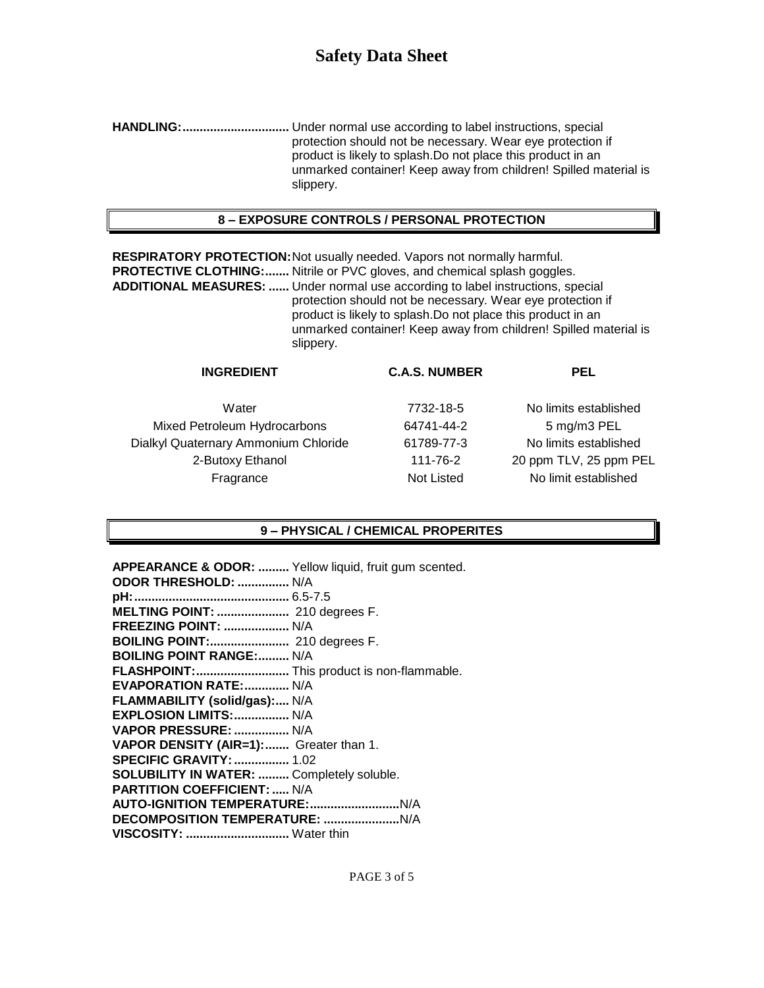**HANDLING:...............................** Under normal use according to label instructions, special protection should not be necessary. Wear eye protection if product is likely to splash.Do not place this product in an unmarked container! Keep away from children! Spilled material is slippery.

# **8 – EXPOSURE CONTROLS / PERSONAL PROTECTION**

**RESPIRATORY PROTECTION:**Not usually needed. Vapors not normally harmful. **PROTECTIVE CLOTHING:.......** Nitrile or PVC gloves, and chemical splash goggles. **ADDITIONAL MEASURES: ......** Under normal use according to label instructions, special protection should not be necessary. Wear eye protection if product is likely to splash.Do not place this product in an unmarked container! Keep away from children! Spilled material is slippery.

| <b>INGREDIENT</b>                    | <b>C.A.S. NUMBER</b> | PEL                    |
|--------------------------------------|----------------------|------------------------|
| Water                                | 7732-18-5            | No limits established  |
| Mixed Petroleum Hydrocarbons         | 64741-44-2           | 5 mg/m3 PEL            |
| Dialkyl Quaternary Ammonium Chloride | 61789-77-3           | No limits established  |
| 2-Butoxy Ethanol                     | 111-76-2             | 20 ppm TLV, 25 ppm PEL |
| Fragrance                            | Not Listed           | No limit established   |
|                                      |                      |                        |

### **9 – PHYSICAL / CHEMICAL PROPERITES**

| APPEARANCE & ODOR:  Yellow liquid, fruit gum scented. |  |
|-------------------------------------------------------|--|
| <b>ODOR THRESHOLD:  N/A</b>                           |  |
|                                                       |  |
| MELTING POINT:  210 degrees F.                        |  |
| <b>FREEZING POINT:  N/A</b>                           |  |
| BOILING POINT: 210 degrees F.                         |  |
| <b>BOILING POINT RANGE: N/A</b>                       |  |
| FLASHPOINT:  This product is non-flammable.           |  |
| <b>EVAPORATION RATE:  N/A</b>                         |  |
| FLAMMABILITY (solid/gas): N/A                         |  |
| EXPLOSION LIMITS:  N/A                                |  |
| VAPOR PRESSURE:  N/A                                  |  |
| VAPOR DENSITY (AIR=1): Greater than 1.                |  |
| <b>SPECIFIC GRAVITY:  1.02</b>                        |  |
| SOLUBILITY IN WATER:  Completely soluble.             |  |
| <b>PARTITION COEFFICIENT:  N/A</b>                    |  |
|                                                       |  |
|                                                       |  |
| VISCOSITY:  Water thin                                |  |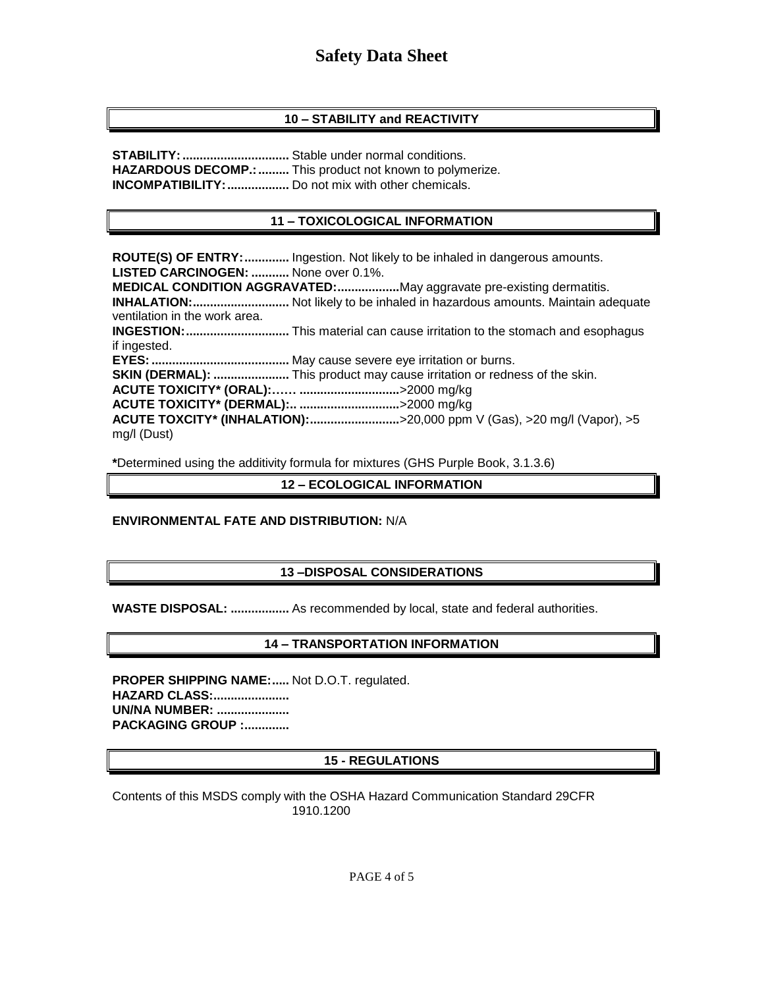# **Safety Data Sheet**

### **10 – STABILITY and REACTIVITY**

**STABILITY:...............................** Stable under normal conditions. **HAZARDOUS DECOMP.: .........** This product not known to polymerize. **INCOMPATIBILITY:..................** Do not mix with other chemicals.

### **11 – TOXICOLOGICAL INFORMATION**

**ROUTE(S) OF ENTRY:.............** Ingestion. Not likely to be inhaled in dangerous amounts. **LISTED CARCINOGEN: ...........** None over 0.1%. **MEDICAL CONDITION AGGRAVATED:..................**May aggravate pre-existing dermatitis. **INHALATION:............................** Not likely to be inhaled in hazardous amounts. Maintain adequate ventilation in the work area. **INGESTION:..............................** This material can cause irritation to the stomach and esophagus if ingested. **EYES:........................................** May cause severe eye irritation or burns. **SKIN (DERMAL): ......................** This product may cause irritation or redness of the skin. **ACUTE TOXICITY\* (ORAL):…… .............................**>2000 mg/kg **ACUTE TOXICITY\* (DERMAL):.. .............................**>2000 mg/kg **ACUTE TOXCITY\* (INHALATION):..........................**>20,000 ppm V (Gas), >20 mg/l (Vapor), >5 mg/l (Dust)

**\***Determined using the additivity formula for mixtures (GHS Purple Book, 3.1.3.6)

### **12 – ECOLOGICAL INFORMATION**

### **ENVIRONMENTAL FATE AND DISTRIBUTION:** N/A

### **13 –DISPOSAL CONSIDERATIONS**

**WASTE DISPOSAL: .................** As recommended by local, state and federal authorities.

### **14 – TRANSPORTATION INFORMATION**

**PROPER SHIPPING NAME:.....** Not D.O.T. regulated. **HAZARD CLASS:...................... UN/NA NUMBER: ..................... PACKAGING GROUP :.............**

### **15 - REGULATIONS**

Contents of this MSDS comply with the OSHA Hazard Communication Standard 29CFR 1910.1200

PAGE 4 of 5